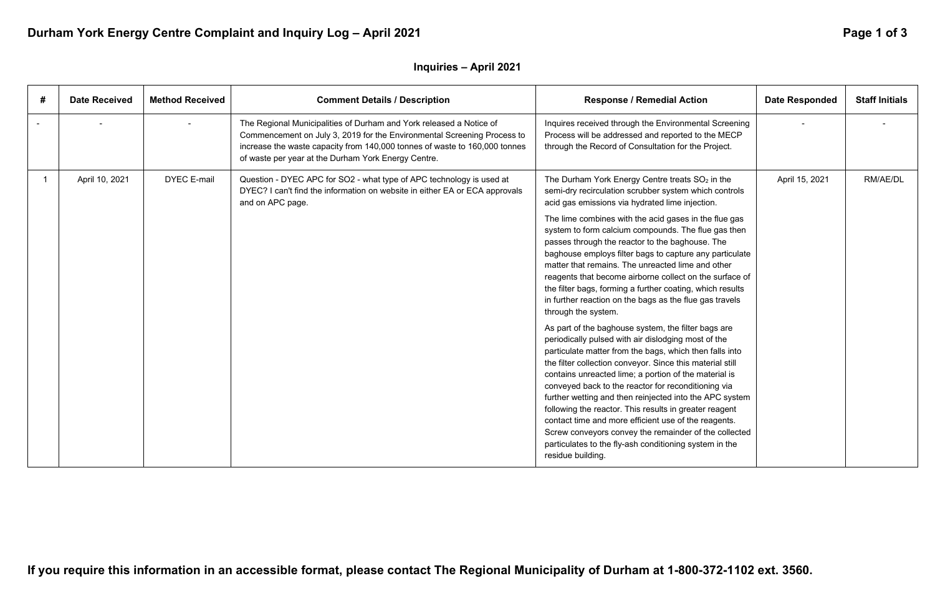# Durham York Energy Centre Complaint and Inquiry Log - April 2021 **Page 1 of 3** Page 1 of 3

## **Inquiries – April 2021**

| # | <b>Date Received</b> | <b>Method Received</b> | <b>Comment Details / Description</b>                                                                                                                                                                                                                                                | <b>Response / Remedial Action</b>                                                                                                                                                                                                                                                                                                                                                                                                                                                                                                                                                                                                                                       | <b>Date Responded</b> | <b>Staff Initials</b> |
|---|----------------------|------------------------|-------------------------------------------------------------------------------------------------------------------------------------------------------------------------------------------------------------------------------------------------------------------------------------|-------------------------------------------------------------------------------------------------------------------------------------------------------------------------------------------------------------------------------------------------------------------------------------------------------------------------------------------------------------------------------------------------------------------------------------------------------------------------------------------------------------------------------------------------------------------------------------------------------------------------------------------------------------------------|-----------------------|-----------------------|
|   |                      |                        | The Regional Municipalities of Durham and York released a Notice of<br>Commencement on July 3, 2019 for the Environmental Screening Process to<br>increase the waste capacity from 140,000 tonnes of waste to 160,000 tonnes<br>of waste per year at the Durham York Energy Centre. | Inquires received through the Environmental Screening<br>Process will be addressed and reported to the MECP<br>through the Record of Consultation for the Project.                                                                                                                                                                                                                                                                                                                                                                                                                                                                                                      |                       |                       |
|   | April 10, 2021       | <b>DYEC E-mail</b>     | Question - DYEC APC for SO2 - what type of APC technology is used at<br>DYEC? I can't find the information on website in either EA or ECA approvals<br>and on APC page.                                                                                                             | The Durham York Energy Centre treats $SO2$ in the<br>semi-dry recirculation scrubber system which controls<br>acid gas emissions via hydrated lime injection.                                                                                                                                                                                                                                                                                                                                                                                                                                                                                                           | April 15, 2021        | RM/AE/DL              |
|   |                      |                        |                                                                                                                                                                                                                                                                                     | The lime combines with the acid gases in the flue gas<br>system to form calcium compounds. The flue gas then<br>passes through the reactor to the baghouse. The<br>baghouse employs filter bags to capture any particulate<br>matter that remains. The unreacted lime and other<br>reagents that become airborne collect on the surface of<br>the filter bags, forming a further coating, which results<br>in further reaction on the bags as the flue gas travels<br>through the system.                                                                                                                                                                               |                       |                       |
|   |                      |                        |                                                                                                                                                                                                                                                                                     | As part of the baghouse system, the filter bags are<br>periodically pulsed with air dislodging most of the<br>particulate matter from the bags, which then falls into<br>the filter collection conveyor. Since this material still<br>contains unreacted lime; a portion of the material is<br>conveyed back to the reactor for reconditioning via<br>further wetting and then reinjected into the APC system<br>following the reactor. This results in greater reagent<br>contact time and more efficient use of the reagents.<br>Screw conveyors convey the remainder of the collected<br>particulates to the fly-ash conditioning system in the<br>residue building. |                       |                       |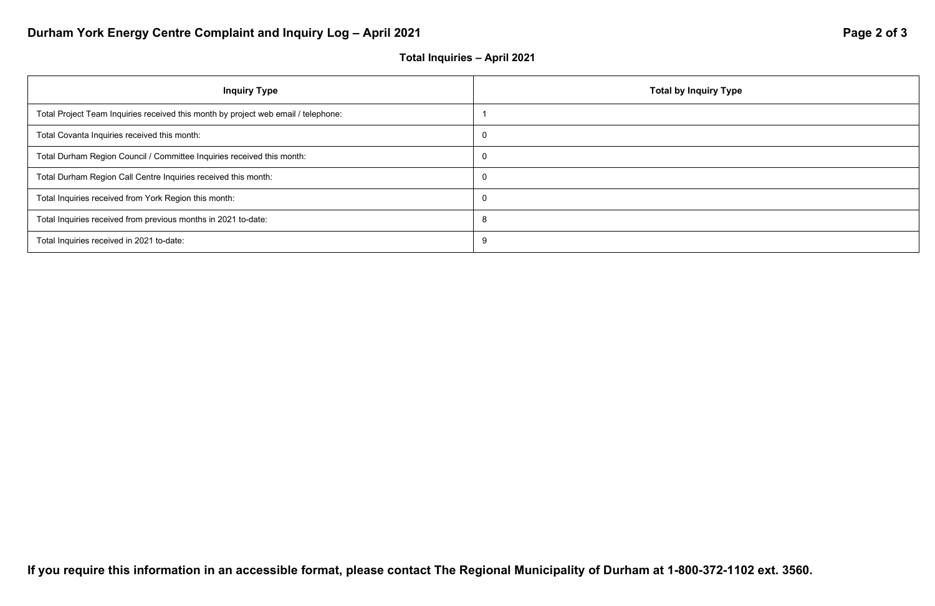# Durham York Energy Centre Complaint and Inquiry Log - April 2021 **Page 2 of 3** Page 2 of 3

## **Total Inquiries – April 2021**



| <b>Inquiry Type</b>                                                                | Total by I |
|------------------------------------------------------------------------------------|------------|
| Total Project Team Inquiries received this month by project web email / telephone: |            |
| Total Covanta Inquiries received this month:                                       | 0          |
| Total Durham Region Council / Committee Inquiries received this month:             | 0          |
| Total Durham Region Call Centre Inquiries received this month:                     | 0          |
| Total Inquiries received from York Region this month:                              | $\Omega$   |
| Total Inquiries received from previous months in 2021 to-date:                     | 8          |
| Total Inquiries received in 2021 to-date:                                          | 9          |